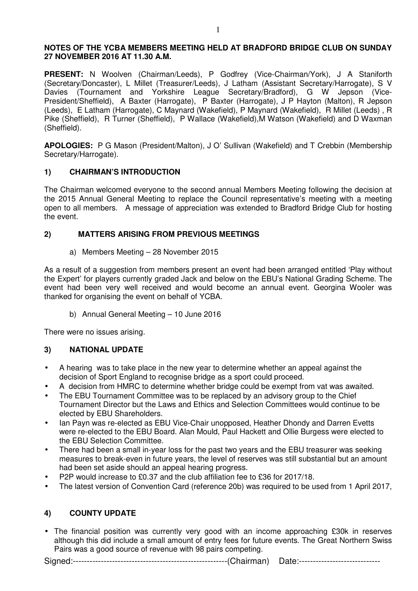#### **NOTES OF THE YCBA MEMBERS MEETING HELD AT BRADFORD BRIDGE CLUB ON SUNDAY 27 NOVEMBER 2016 AT 11.30 A.M.**

**PRESENT:** N Woolven (Chairman/Leeds), P Godfrey (Vice-Chairman/York), J A Staniforth (Secretary/Doncaster), L Millet (Treasurer/Leeds), J Latham (Assistant Secretary/Harrogate), S V Davies (Tournament and Yorkshire League Secretary/Bradford), G W Jepson (Vice-President/Sheffield), A Baxter (Harrogate), P Baxter (Harrogate), J P Hayton (Malton), R Jepson (Leeds), E Latham (Harrogate), C Maynard (Wakefield), P Maynard (Wakefield), R Millet (Leeds) , R Pike (Sheffield), R Turner (Sheffield), P Wallace (Wakefield), M Watson (Wakefield) and D Waxman (Sheffield).

**APOLOGIES:** P G Mason (President/Malton), J O' Sullivan (Wakefield) and T Crebbin (Membership Secretary/Harrogate).

# **1) CHAIRMAN'S INTRODUCTION**

The Chairman welcomed everyone to the second annual Members Meeting following the decision at the 2015 Annual General Meeting to replace the Council representative's meeting with a meeting open to all members. A message of appreciation was extended to Bradford Bridge Club for hosting the event.

#### **2) MATTERS ARISING FROM PREVIOUS MEETINGS**

#### a) Members Meeting – 28 November 2015

As a result of a suggestion from members present an event had been arranged entitled 'Play without the Expert' for players currently graded Jack and below on the EBU's National Grading Scheme. The event had been very well received and would become an annual event. Georgina Wooler was thanked for organising the event on behalf of YCBA.

#### b) Annual General Meeting – 10 June 2016

There were no issues arising.

# **3) NATIONAL UPDATE**

- A hearing was to take place in the new year to determine whether an appeal against the decision of Sport England to recognise bridge as a sport could proceed.
- A decision from HMRC to determine whether bridge could be exempt from vat was awaited.
- The EBU Tournament Committee was to be replaced by an advisory group to the Chief Tournament Director but the Laws and Ethics and Selection Committees would continue to be elected by EBU Shareholders.
- Ian Payn was re-elected as EBU Vice-Chair unopposed, Heather Dhondy and Darren Evetts were re-elected to the EBU Board. Alan Mould, Paul Hackett and Ollie Burgess were elected to the EBU Selection Committee.
- There had been a small in-year loss for the past two years and the EBU treasurer was seeking measures to break-even in future years, the level of reserves was still substantial but an amount had been set aside should an appeal hearing progress.
- P2P would increase to £0.37 and the club affiliation fee to £36 for 2017/18.
- The latest version of Convention Card (reference 20b) was required to be used from 1 April 2017,

# **4) COUNTY UPDATE**

• The financial position was currently very good with an income approaching £30k in reserves although this did include a small amount of entry fees for future events. The Great Northern Swiss Pairs was a good source of revenue with 98 pairs competing.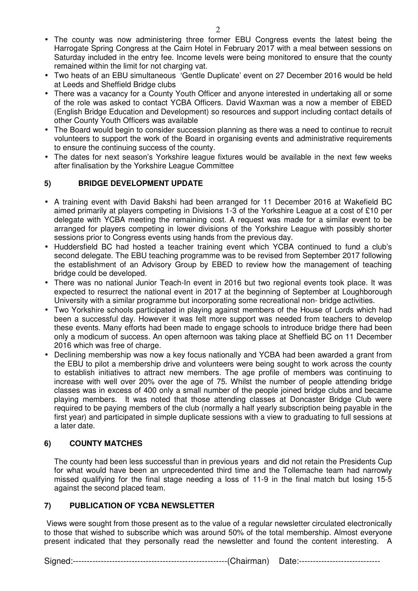- The county was now administering three former EBU Congress events the latest being the Harrogate Spring Congress at the Cairn Hotel in February 2017 with a meal between sessions on Saturday included in the entry fee. Income levels were being monitored to ensure that the county remained within the limit for not charging vat.
- Two heats of an EBU simultaneous 'Gentle Duplicate' event on 27 December 2016 would be held at Leeds and Sheffield Bridge clubs
- There was a vacancy for a County Youth Officer and anyone interested in undertaking all or some of the role was asked to contact YCBA Officers. David Waxman was a now a member of EBED (English Bridge Education and Development) so resources and support including contact details of other County Youth Officers was available
- The Board would begin to consider succession planning as there was a need to continue to recruit volunteers to support the work of the Board in organising events and administrative requirements to ensure the continuing success of the county.
- The dates for next season's Yorkshire league fixtures would be available in the next few weeks after finalisation by the Yorkshire League Committee

# **5) BRIDGE DEVELOPMENT UPDATE**

- A training event with David Bakshi had been arranged for 11 December 2016 at Wakefield BC aimed primarily at players competing in Divisions 1-3 of the Yorkshire League at a cost of £10 per delegate with YCBA meeting the remaining cost. A request was made for a similar event to be arranged for players competing in lower divisions of the Yorkshire League with possibly shorter sessions prior to Congress events using hands from the previous day.
- Huddersfield BC had hosted a teacher training event which YCBA continued to fund a club's second delegate. The EBU teaching programme was to be revised from September 2017 following the establishment of an Advisory Group by EBED to review how the management of teaching bridge could be developed.
- There was no national Junior Teach-In event in 2016 but two regional events took place. It was expected to resurrect the national event in 2017 at the beginning of September at Loughborough University with a similar programme but incorporating some recreational non- bridge activities.
- Two Yorkshire schools participated in playing against members of the House of Lords which had been a successful day. However it was felt more support was needed from teachers to develop these events. Many efforts had been made to engage schools to introduce bridge there had been only a modicum of success. An open afternoon was taking place at Sheffield BC on 11 December 2016 which was free of charge.
- Declining membership was now a key focus nationally and YCBA had been awarded a grant from the EBU to pilot a membership drive and volunteers were being sought to work across the county to establish initiatives to attract new members. The age profile of members was continuing to increase with well over 20% over the age of 75. Whilst the number of people attending bridge classes was in excess of 400 only a small number of the people joined bridge clubs and became playing members. It was noted that those attending classes at Doncaster Bridge Club were required to be paying members of the club (normally a half yearly subscription being payable in the first year) and participated in simple duplicate sessions with a view to graduating to full sessions at a later date.

# **6) COUNTY MATCHES**

The county had been less successful than in previous years and did not retain the Presidents Cup for what would have been an unprecedented third time and the Tollemache team had narrowly missed qualifying for the final stage needing a loss of 11-9 in the final match but losing 15-5 against the second placed team.

# **7) PUBLICATION OF YCBA NEWSLETTER**

Views were sought from those present as to the value of a regular newsletter circulated electronically to those that wished to subscribe which was around 50% of the total membership. Almost everyone present indicated that they personally read the newsletter and found the content interesting. A

Signed:-------------------------------------------------------(Chairman) Date:-----------------------------